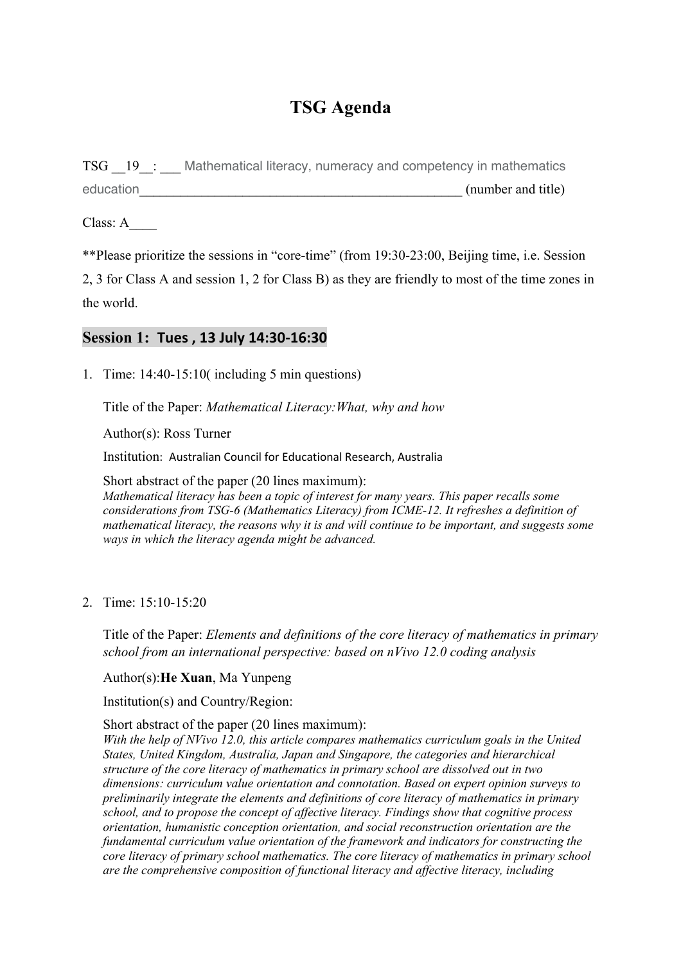# **TSG Agenda**

TSG 19 : Mathematical literacy, numeracy and competency in mathematics education (number and title)

Class: A\_\_\_\_

\*\*Please prioritize the sessions in "core-time" (from 19:30-23:00, Beijing time, i.e. Session

2, 3 for Class A and session 1, 2 for Class B) as they are friendly to most of the time zones in the world.

# **Session 1: Tues , 13 July 14:30-16:30**

1. Time: 14:40-15:10( including 5 min questions)

Title of the Paper: *Mathematical Literacy:What, why and how*

Author(s): Ross Turner

Institution: Australian Council for Educational Research, Australia

Short abstract of the paper (20 lines maximum): *Mathematical literacy has been a topic of interest for many years. This paper recalls some considerations from TSG-6 (Mathematics Literacy) from ICME-12. It refreshes a definition of mathematical literacy, the reasons why it is and will continue to be important, and suggests some ways in which the literacy agenda might be advanced.*

2. Time: 15:10-15:20

Title of the Paper: *Elements and definitions of the core literacy of mathematics in primary school from an international perspective: based on nVivo 12.0 coding analysis*

#### Author(s):**He Xuan**, Ma Yunpeng

Institution(s) and Country/Region:

Short abstract of the paper (20 lines maximum):

*With the help of NVivo 12.0, this article compares mathematics curriculum goals in the United States, United Kingdom, Australia, Japan and Singapore, the categories and hierarchical structure of the core literacy of mathematics in primary school are dissolved out in two dimensions: curriculum value orientation and connotation. Based on expert opinion surveys to preliminarily integrate the elements and definitions of core literacy of mathematics in primary school, and to propose the concept of affective literacy. Findings show that cognitive process orientation, humanistic conception orientation, and social reconstruction orientation are the fundamental curriculum value orientation of the framework and indicators for constructing the core literacy of primary school mathematics. The core literacy of mathematics in primary school are the comprehensive composition of functional literacy and affective literacy, including*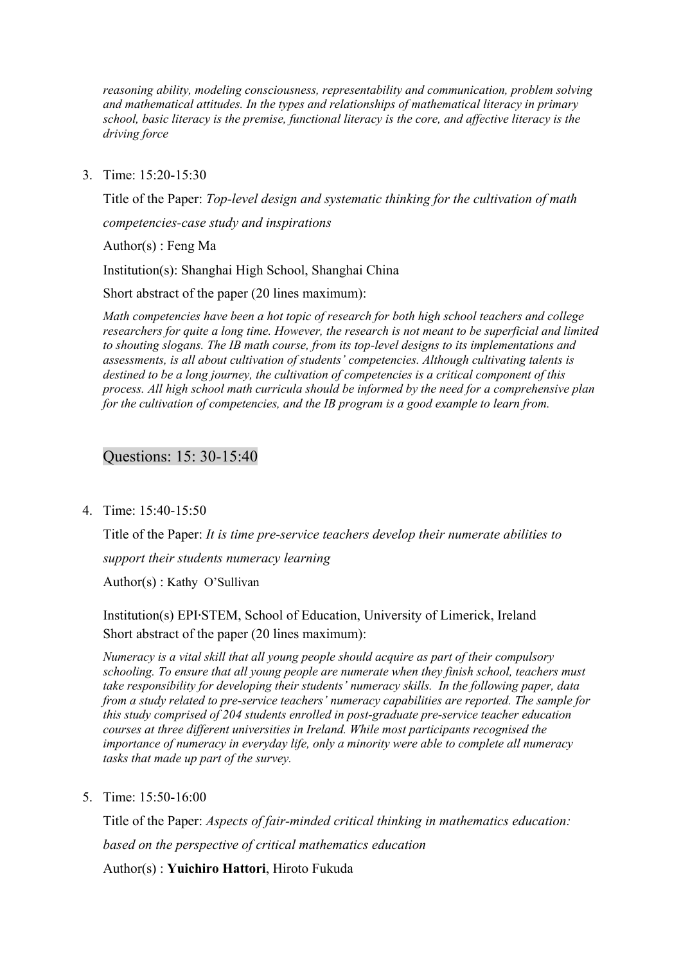*reasoning ability, modeling consciousness, representability and communication, problem solving and mathematical attitudes. In the types and relationships of mathematical literacy in primary school, basic literacy is the premise, functional literacy is the core, and affective literacy is the driving force*

3. Time: 15:20-15:30

Title of the Paper: *Top-level design and systematic thinking for the cultivation of math* 

*competencies-case study and inspirations*

Author(s) : Feng Ma

Institution(s): Shanghai High School, Shanghai China

Short abstract of the paper (20 lines maximum):

*Math competencies have been a hot topic of research for both high school teachers and college researchers for quite a long time. However, the research is not meant to be superficial and limited to shouting slogans. The IB math course, from its top-level designs to its implementations and assessments, is all about cultivation of students' competencies. Although cultivating talents is destined to be a long journey, the cultivation of competencies is a critical component of this process. All high school math curricula should be informed by the need for a comprehensive plan for the cultivation of competencies, and the IB program is a good example to learn from.*

# Questions: 15: 30-15:40

4. Time: 15:40-15:50

Title of the Paper: *It is time pre-service teachers develop their numerate abilities to support their students numeracy learning* Author(s) : Kathy O'Sullivan

Institution(s) EPI∙STEM, School of Education, University of Limerick, Ireland Short abstract of the paper (20 lines maximum):

*Numeracy is a vital skill that all young people should acquire as part of their compulsory schooling. To ensure that all young people are numerate when they finish school, teachers must take responsibility for developing their students' numeracy skills. In the following paper, data from a study related to pre-service teachers' numeracy capabilities are reported. The sample for*  this study comprised of 204 students enrolled in post-graduate pre-service teacher education *courses at three different universities in Ireland. While most participants recognised the importance of numeracy in everyday life, only a minority were able to complete all numeracy tasks that made up part of the survey.*

5. Time: 15:50-16:00

Title of the Paper: *Aspects of fair-minded critical thinking in mathematics education: based on the perspective of critical mathematics education*

Author(s) : **Yuichiro Hattori**, Hiroto Fukuda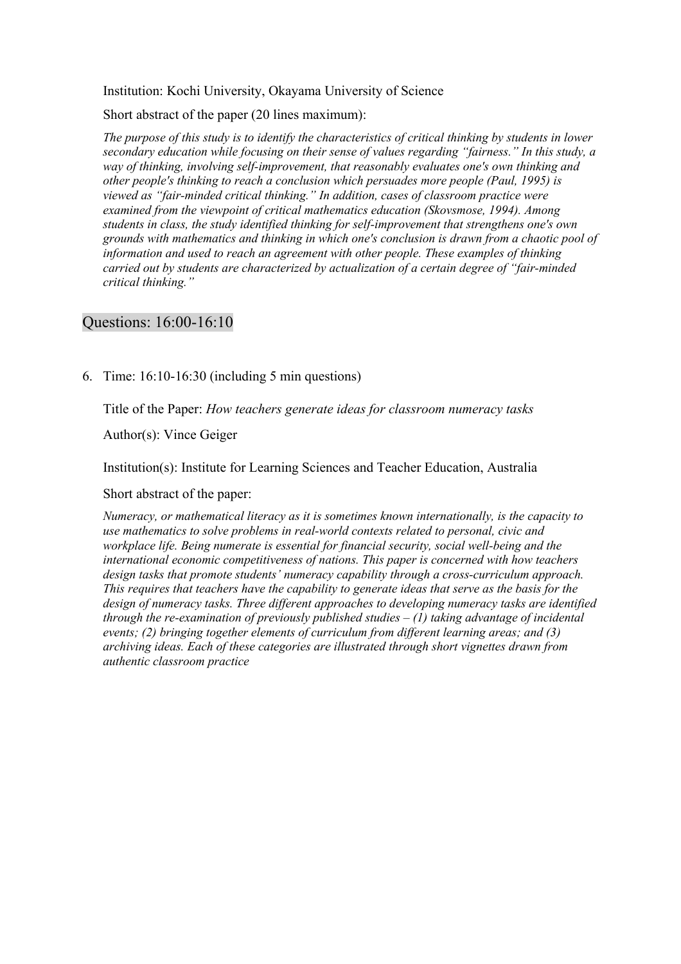#### Institution: Kochi University, Okayama University of Science

Short abstract of the paper (20 lines maximum):

*The purpose of this study is to identify the characteristics of critical thinking by students in lower secondary education while focusing on their sense of values regarding "fairness." In this study, a way of thinking, involving self-improvement, that reasonably evaluates one's own thinking and other people's thinking to reach a conclusion which persuades more people (Paul, 1995) is viewed as "fair-minded critical thinking." In addition, cases of classroom practice were examined from the viewpoint of critical mathematics education (Skovsmose, 1994). Among students in class, the study identified thinking for self-improvement that strengthens one's own grounds with mathematics and thinking in which one's conclusion is drawn from a chaotic pool of information and used to reach an agreement with other people. These examples of thinking carried out by students are characterized by actualization of a certain degree of "fair-minded critical thinking."*

#### Questions: 16:00-16:10

6. Time: 16:10-16:30 (including 5 min questions)

Title of the Paper: *How teachers generate ideas for classroom numeracy tasks*

Author(s): Vince Geiger

Institution(s): Institute for Learning Sciences and Teacher Education, Australia

Short abstract of the paper:

*Numeracy, or mathematical literacy as it is sometimes known internationally, is the capacity to use mathematics to solve problems in real-world contexts related to personal, civic and workplace life. Being numerate is essential for financial security, social well-being and the international economic competitiveness of nations. This paper is concerned with how teachers design tasks that promote students' numeracy capability through a cross-curriculum approach. This requires that teachers have the capability to generate ideas that serve as the basis for the design of numeracy tasks. Three different approaches to developing numeracy tasks are identified through the re-examination of previously published studies – (1) taking advantage of incidental events; (2) bringing together elements of curriculum from different learning areas; and (3) archiving ideas. Each of these categories are illustrated through short vignettes drawn from authentic classroom practice*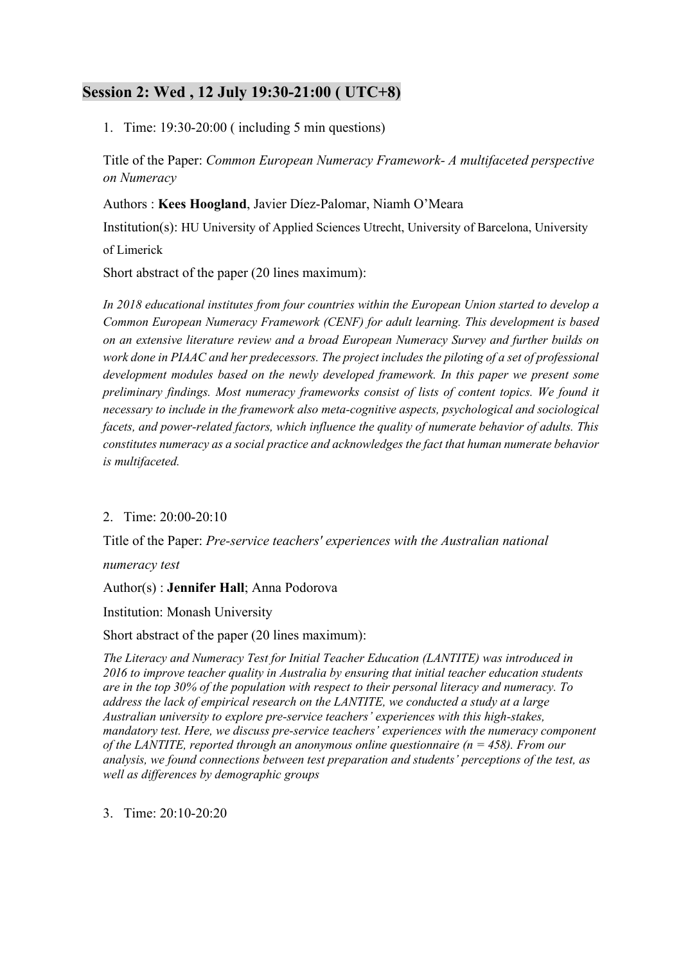# **Session 2: Wed , 12 July 19:30-21:00 ( UTC+8)**

1. Time: 19:30-20:00 ( including 5 min questions)

Title of the Paper: *Common European Numeracy Framework- A multifaceted perspective on Numeracy*

Authors : **Kees Hoogland**, Javier Díez-Palomar, Niamh O'Meara

Institution(s): HU University of Applied Sciences Utrecht, University of Barcelona, University of Limerick

Short abstract of the paper (20 lines maximum):

*In 2018 educational institutes from four countries within the European Union started to develop a Common European Numeracy Framework (CENF) for adult learning. This development is based on an extensive literature review and a broad European Numeracy Survey and further builds on work done in PIAAC and her predecessors. The project includes the piloting of a set of professional development modules based on the newly developed framework. In this paper we present some preliminary findings. Most numeracy frameworks consist of lists of content topics. We found it necessary to include in the framework also meta-cognitive aspects, psychological and sociological facets, and power-related factors, which influence the quality of numerate behavior of adults. This constitutes numeracy as a social practice and acknowledges the fact that human numerate behavior is multifaceted.*

### 2. Time: 20:00-20:10

Title of the Paper: *Pre-service teachers' experiences with the Australian national* 

*numeracy test*

#### Author(s) : **Jennifer Hall**; Anna Podorova

Institution: Monash University

#### Short abstract of the paper (20 lines maximum):

*The Literacy and Numeracy Test for Initial Teacher Education (LANTITE) was introduced in XYgh to improve teacher quality in Australia by ensuring that initial teacher education students are in the top iY% of the population with respect to their personal literacy and numeracy. To address the lack of empirical research on the LANTITE, we conducted a study at a large Australian university to explore pre-service teachers' experiences with this high-stakes, mandatory test. Here, we discuss pre-service teachers' experiences with the numeracy component of the LANTITE, reported through an anonymous online questionnaire (n = 458). From our analysis, we found connections between test preparation and students' perceptions of the test, as well as differences by demographic groups*

3. Time: 20:10-20:20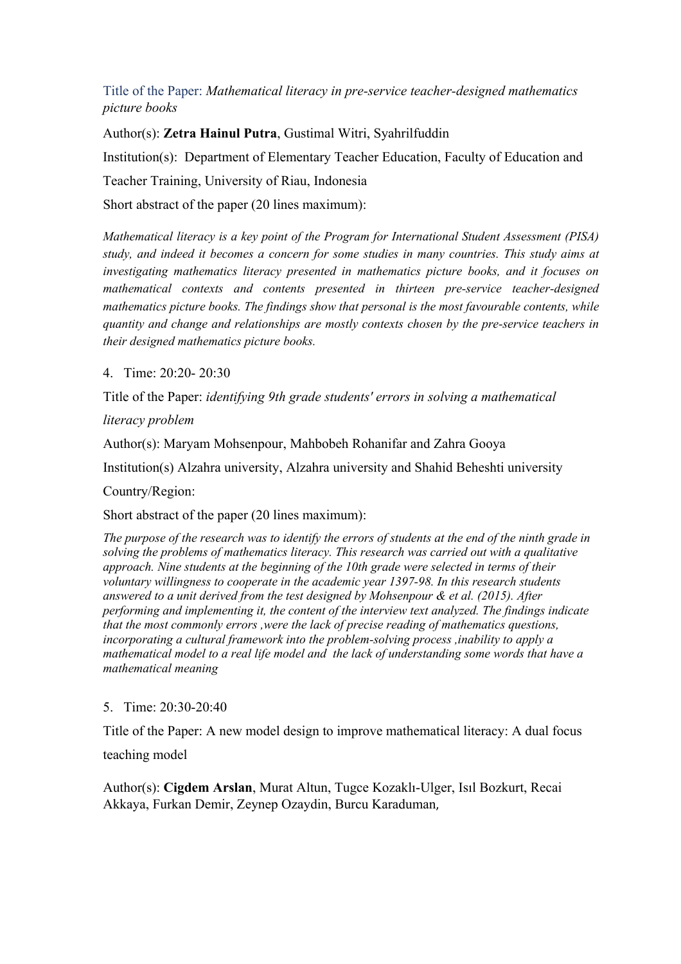# Title of the Paper: *Mathematical literacy in pre-service teacher-designed mathematics picture books*

Author(s): **Zetra Hainul Putra**, Gustimal Witri, Syahrilfuddin Institution(s): Department of Elementary Teacher Education, Faculty of Education and Teacher Training, University of Riau, Indonesia Short abstract of the paper (20 lines maximum):

*Mathematical literacy is a key point of the Program for International Student Assessment (PISA) study, and indeed it becomes a concern for some studies in many countries. This study aims at investigating mathematics literacy presented in mathematics picture books, and it focuses on mathematical contexts and contents presented in thirteen pre-service teacher-designed mathematics picture books. The findings show that personal is the most favourable contents, while quantity and change and relationships are mostly contexts chosen by the pre-service teachers in their designed mathematics picture books.*

4. Time: 20:20- 20:30

Title of the Paper: *identifying 9th grade students' errors in solving a mathematical* 

*literacy problem*

Author(s): Maryam Mohsenpour, Mahbobeh Rohanifar and Zahra Gooya

Institution(s) Alzahra university, Alzahra university and Shahid Beheshti university

Country/Region:

Short abstract of the paper (20 lines maximum):

*The purpose of the research was to identify the errors of students at the end of the ninth grade in solving the problems of mathematics literacy. This research was carried out with a qualitative approach. Nine students at the beginning of the 10th grade were selected in terms of their voluntary willingness to cooperate in the academic year 1397-98. In this research students answered to a unit derived from the test designed by Mohsenpour & et al. (2015). After performing and implementing it, the content of the interview text analyzed. The findings indicate that the most commonly errors ,were the lack of precise reading of mathematics questions, incorporating a cultural framework into the problem-solving process ,inability to apply a mathematical model to a real life model and the lack of understanding some words that have a mathematical meaning*

5. Time: 20:30-20:40

Title of the Paper: A new model design to improve mathematical literacy: A dual focus

teaching model

Author(s): **Cigdem Arslan**, Murat Altun, Tugce Kozaklı-Ulger, Isıl Bozkurt, Recai Akkaya, Furkan Demir, Zeynep Ozaydin, Burcu Karaduman,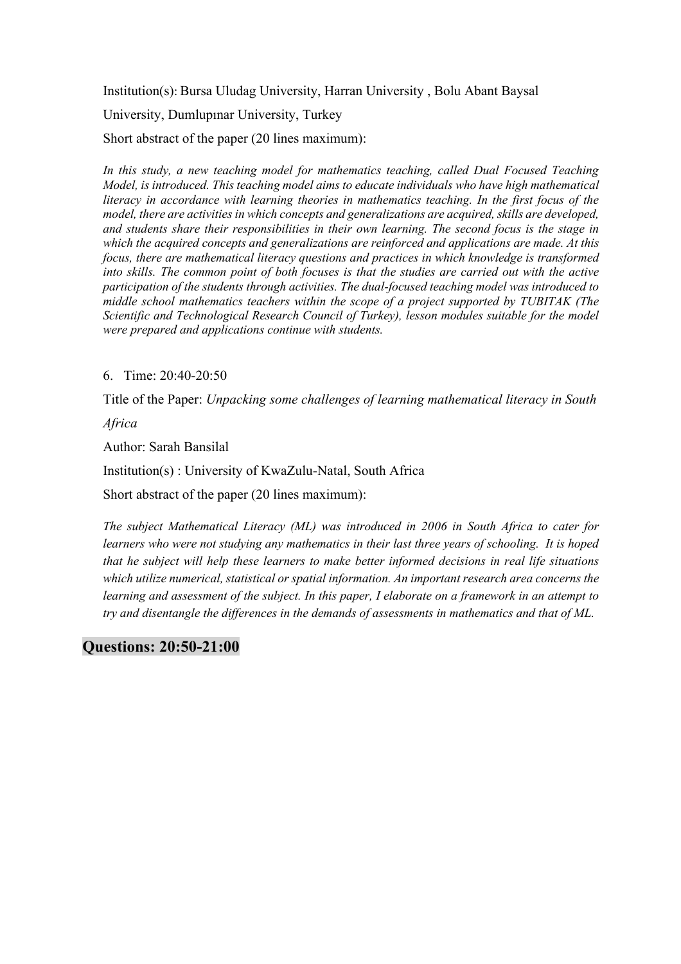Institution(s): Bursa Uludag University, Harran University , Bolu Abant Baysal University, Dumlupınar University, Turkey Short abstract of the paper (20 lines maximum):

*In this study, a new teaching model for mathematics teaching, called Dual Focused Teaching Model, is introduced. This teaching model aims to educate individuals who have high mathematical literacy in accordance with learning theories in mathematics teaching. In the first focus of the model, there are activities in which concepts and generalizations are acquired, skills are developed, and students share their responsibilities in their own learning. The second focus is the stage in which the acquired concepts and generalizations are reinforced and applications are made. At this focus, there are mathematical literacy questions and practices in which knowledge is transformed into skills. The common point of both focuses is that the studies are carried out with the active participation of the students through activities. The dual-focused teaching model was introduced to middle school mathematics teachers within the scope of a project supported by TUBITAK (The Scientific and Technological Research Council of Turkey), lesson modules suitable for the model were prepared and applications continue with students.*

#### 6. Time: 20:40-20:50

Title of the Paper: *Unpacking some challenges of learning mathematical literacy in South* 

*Africa*

Author: Sarah Bansilal

Institution(s) : University of KwaZulu-Natal, South Africa

Short abstract of the paper (20 lines maximum):

*The subject Mathematical Literacy (ML) was introduced in 2006 in South Africa to cater for learners who were not studying any mathematics in their last three years of schooling. It is hoped that he subject will help these learners to make better informed decisions in real life situations which utilize numerical, statistical or spatial information. An important research area concerns the learning and assessment of the subject. In this paper, I elaborate on a framework in an attempt to try and disentangle the differences in the demands of assessments in mathematics and that of ML.* 

### **Questions: 20:50-21:00**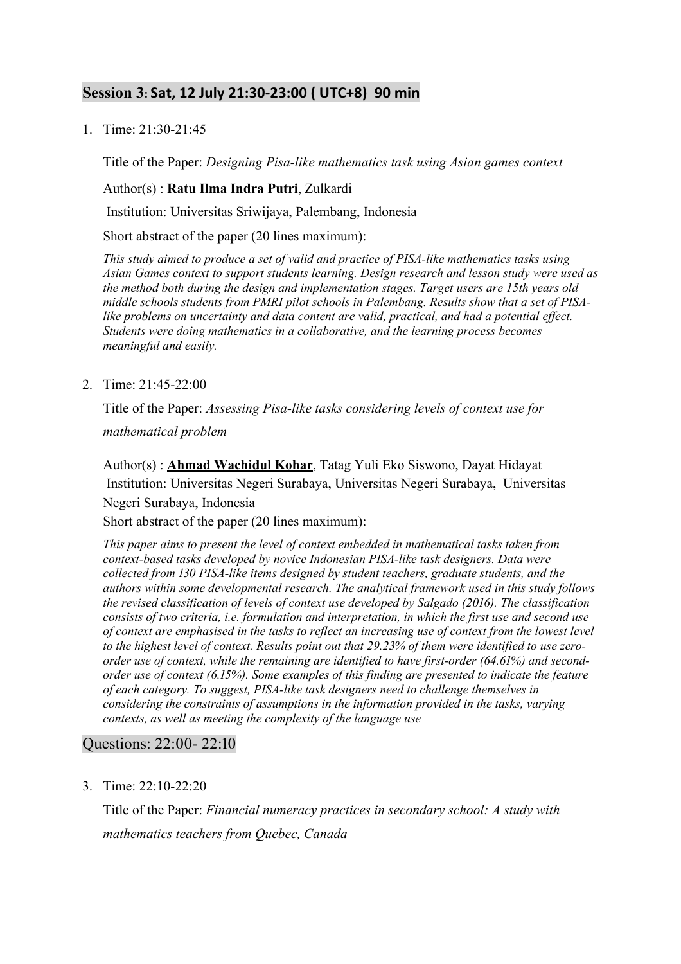# **Session 3: Sat, 12 July 21:30-23:00 ( UTC+8) 90 min**

1. Time: 21:30-21:45

Title of the Paper: *Designing Pisa-like mathematics task using Asian games context*

#### Author(s) : **Ratu Ilma Indra Putri**, Zulkardi

Institution: Universitas Sriwijaya, Palembang, Indonesia

Short abstract of the paper (20 lines maximum):

*This study aimed to produce a set of valid and practice of PISA-like mathematics tasks using Asian Games context to support students learning. Design research and lesson study were used as the method both during the design and implementation stages. Target users are 15th years old middle schools students from PMRI pilot schools in Palembang. Results show that a set of PISAlike problems on uncertainty and data content are valid, practical, and had a potential effect. Students were doing mathematics in a collaborative, and the learning process becomes meaningful and easily.*

2. Time: 21:45-22:00

Title of the Paper: *Assessing Pisa-like tasks considering levels of context use for* 

*mathematical problem*

Author(s) : **Ahmad Wachidul Kohar**, Tatag Yuli Eko Siswono, Dayat Hidayat Institution: Universitas Negeri Surabaya, Universitas Negeri Surabaya, Universitas Negeri Surabaya, Indonesia

Short abstract of the paper (20 lines maximum):

*This paper aims to present the level of context embedded in mathematical tasks taken from context-based tasks developed by novice Indonesian PISA-like task designers. Data were collected from 130 PISA-like items designed by student teachers, graduate students, and the authors within some developmental research. The analytical framework used in this study follows the revised classification of levels of context use developed by Salgado (2016). The classification consists of two criteria, i.e. formulation and interpretation, in which the first use and second use of context are emphasised in the tasks to reflect an increasing use of context from the lowest level*  to the highest level of context. Results point out that 29.23% of them were identified to use zero*order use of context, while the remaining are identified to have first-order (64.61%) and secondorder use of context (6.15%). Some examples of this finding are presented to indicate the feature of each category. To suggest, PISA-like task designers need to challenge themselves in considering the constraints of assumptions in the information provided in the tasks, varying contexts, as well as meeting the complexity of the language use*

### Questions: 22:00- 22:10

3. Time: 22:10-22:20

Title of the Paper: *Financial numeracy practices in secondary school: A study with mathematics teachers from Quebec, Canada*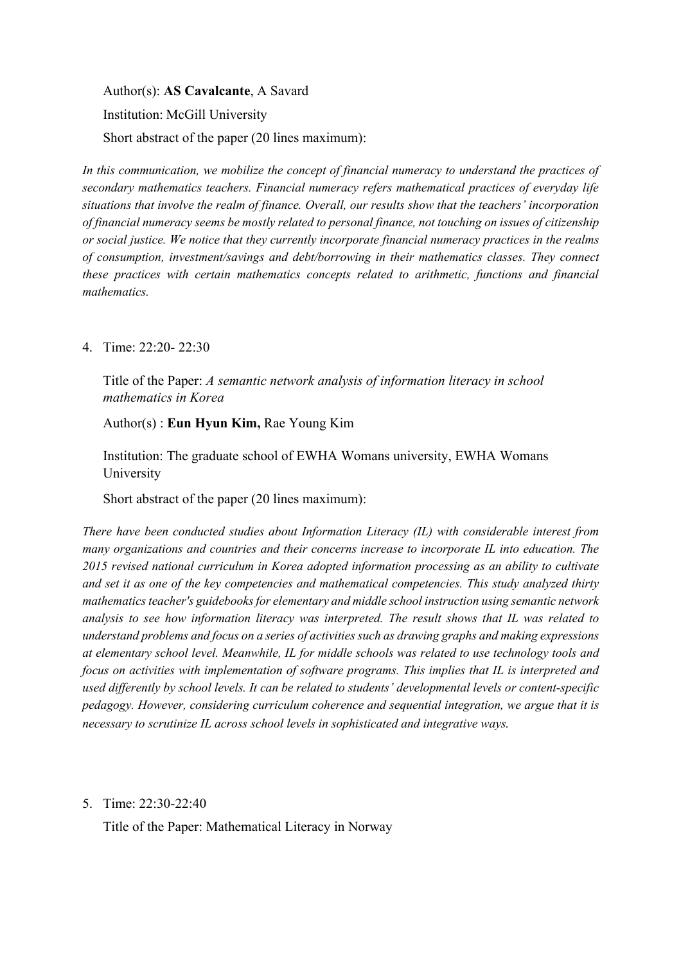Author(s): **AS Cavalcante**, A Savard

Institution: McGill University

Short abstract of the paper (20 lines maximum):

*In this communication, we mobilize the concept of financial numeracy to understand the practices of secondary mathematics teachers. Financial numeracy refers mathematical practices of everyday life situations that involve the realm of finance. Overall, our results show that the teachers' incorporation of financial numeracy seems be mostly related to personal finance, not touching on issues of citizenship or social justice. We notice that they currently incorporate financial numeracy practices in the realms of consumption, investment/savings and debt/borrowing in their mathematics classes. They connect these practices with certain mathematics concepts related to arithmetic, functions and financial mathematics.* 

4. Time: 22:20- 22:30

Title of the Paper: *A semantic network analysis of information literacy in school mathematics in Korea*

Author(s) : **Eun Hyun Kim,** Rae Young Kim

Institution: The graduate school of EWHA Womans university, EWHA Womans University

Short abstract of the paper (20 lines maximum):

*There have been conducted studies about Information Literacy (IL) with considerable interest from many organizations and countries and their concerns increase to incorporate IL into education. The 2015 revised national curriculum in Korea adopted information processing as an ability to cultivate and set it as one of the key competencies and mathematical competencies. This study analyzed thirty mathematics teacher's guidebooks for elementary and middle school instruction using semantic network analysis to see how information literacy was interpreted. The result shows that IL was related to understand problems and focus on a series of activities such as drawing graphs and making expressions at elementary school level. Meanwhile, IL for middle schools was related to use technology tools and focus on activities with implementation of software programs. This implies that IL is interpreted and used differently by school levels. It can be related to students' developmental levels or content-specific pedagogy. However, considering curriculum coherence and sequential integration, we argue that it is necessary to scrutinize IL across school levels in sophisticated and integrative ways.* 

5. Time: 22:30-22:40

Title of the Paper: Mathematical Literacy in Norway